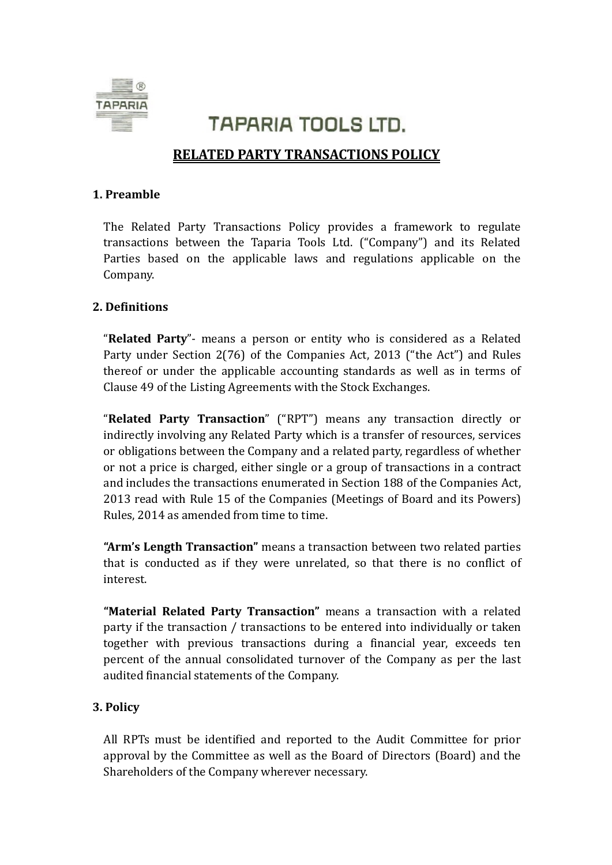

# **TAPARIA TOOLS LTD.**

# **RELATED PARTY TRANSACTIONS POLICY**

#### **1. Preamble**

The Related Party Transactions Policy provides a framework to regulate transactions between the Taparia Tools Ltd. ("Company") and its Related Parties based on the applicable laws and regulations applicable on the Company.

#### **2. Definitions**

"**Related Party**"- means a person or entity who is considered as a Related Party under Section 2(76) of the Companies Act, 2013 ("the Act") and Rules thereof or under the applicable accounting standards as well as in terms of Clause 49 of the Listing Agreements with the Stock Exchanges.

"**Related Party Transaction**" ("RPT") means any transaction directly or indirectly involving any Related Party which is a transfer of resources, services or obligations between the Company and a related party, regardless of whether or not a price is charged, either single or a group of transactions in a contract and includes the transactions enumerated in Section 188 of the Companies Act, 2013 read with Rule 15 of the Companies (Meetings of Board and its Powers) Rules, 2014 as amended from time to time.

**"Arm's Length Transaction"** means a transaction between two related parties that is conducted as if they were unrelated, so that there is no conflict of interest.

**"Material Related Party Transaction"** means a transaction with a related party if the transaction / transactions to be entered into individually or taken together with previous transactions during a financial year, exceeds ten percent of the annual consolidated turnover of the Company as per the last audited financial statements of the Company.

# **3. Policy**

All RPTs must be identified and reported to the Audit Committee for prior approval by the Committee as well as the Board of Directors (Board) and the Shareholders of the Company wherever necessary.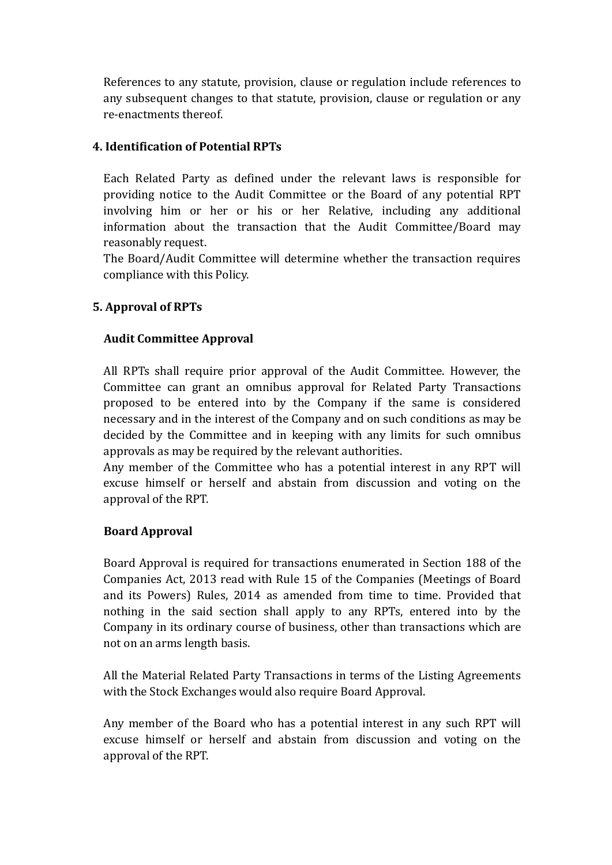References to any statute, provision, clause or regulation include references to any subsequent changes to that statute, provision, clause or regulation or any re-enactments thereof.

# **4. Identification of Potential RPTs**

Each Related Party as defined under the relevant laws is responsible for providing notice to the Audit Committee or the Board of any potential RPT involving him or her or his or her Relative, including any additional information about the transaction that the Audit Committee/Board may reasonably request.

The Board/Audit Committee will determine whether the transaction requires compliance with this Policy.

# **5. Approval of RPTs**

# **Audit Committee Approval**

All RPTs shall require prior approval of the Audit Committee. However, the Committee can grant an omnibus approval for Related Party Transactions proposed to be entered into by the Company if the same is considered necessary and in the interest of the Company and on such conditions as may be decided by the Committee and in keeping with any limits for such omnibus approvals as may be required by the relevant authorities.

Any member of the Committee who has a potential interest in any RPT will excuse himself or herself and abstain from discussion and voting on the approval of the RPT.

# **Board Approval**

Board Approval is required for transactions enumerated in Section 188 of the Companies Act, 2013 read with Rule 15 of the Companies (Meetings of Board and its Powers) Rules, 2014 as amended from time to time. Provided that nothing in the said section shall apply to any RPTs, entered into by the Company in its ordinary course of business, other than transactions which are not on an arms length basis.

All the Material Related Party Transactions in terms of the Listing Agreements with the Stock Exchanges would also require Board Approval.

Any member of the Board who has a potential interest in any such RPT will excuse himself or herself and abstain from discussion and voting on the approval of the RPT.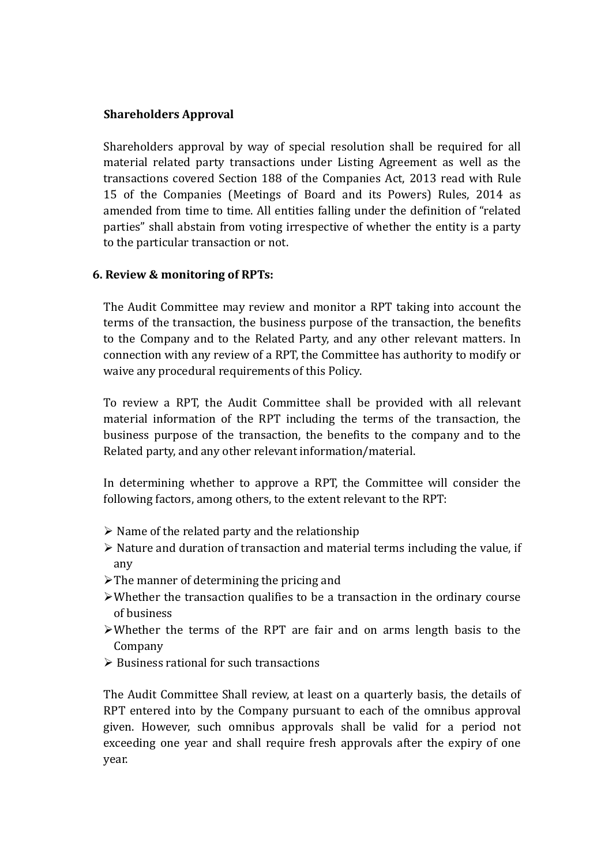#### **Shareholders Approval**

Shareholders approval by way of special resolution shall be required for all material related party transactions under Listing Agreement as well as the transactions covered Section 188 of the Companies Act, 2013 read with Rule 15 of the Companies (Meetings of Board and its Powers) Rules, 2014 as amended from time to time. All entities falling under the definition of "related parties" shall abstain from voting irrespective of whether the entity is a party to the particular transaction or not.

#### **6. Review & monitoring of RPTs:**

The Audit Committee may review and monitor a RPT taking into account the terms of the transaction, the business purpose of the transaction, the benefits to the Company and to the Related Party, and any other relevant matters. In connection with any review of a RPT, the Committee has authority to modify or waive any procedural requirements of this Policy.

To review a RPT, the Audit Committee shall be provided with all relevant material information of the RPT including the terms of the transaction, the business purpose of the transaction, the benefits to the company and to the Related party, and any other relevant information/material.

In determining whether to approve a RPT, the Committee will consider the following factors, among others, to the extent relevant to the RPT:

- $\triangleright$  Name of the related party and the relationship
- $\triangleright$  Nature and duration of transaction and material terms including the value, if any
- $\triangleright$  The manner of determining the pricing and
- $\triangleright$  Whether the transaction qualifies to be a transaction in the ordinary course of business
- $\triangleright$  Whether the terms of the RPT are fair and on arms length basis to the Company
- $\triangleright$  Business rational for such transactions

The Audit Committee Shall review, at least on a quarterly basis, the details of RPT entered into by the Company pursuant to each of the omnibus approval given. However, such omnibus approvals shall be valid for a period not exceeding one year and shall require fresh approvals after the expiry of one year.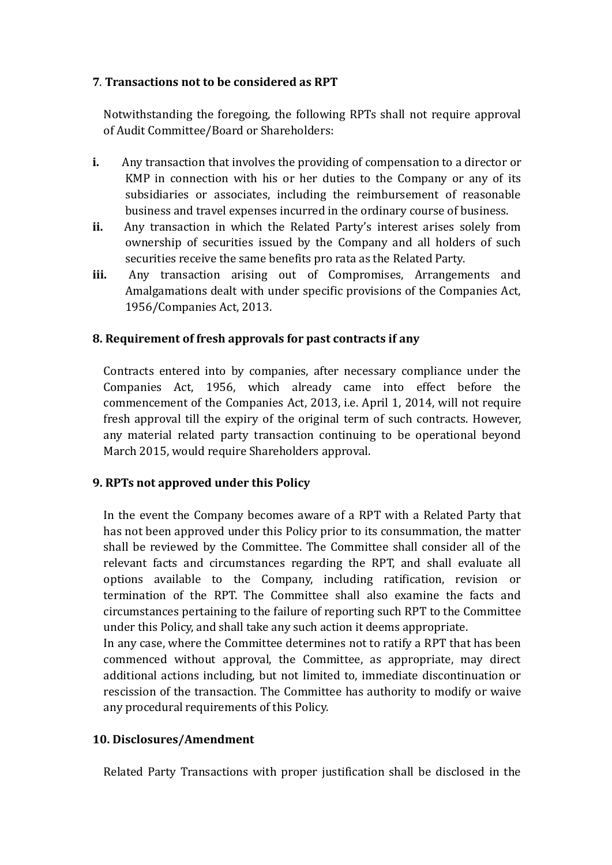# **7**. **Transactions notto be considered as RPT**

Notwithstanding the foregoing, the following RPTs shall not require approval of Audit Committee/Board or Shareholders:

- **i.** Any transaction that involves the providing of compensation to a director or KMP in connection with his or her duties to the Company or any of its subsidiaries or associates, including the reimbursement of reasonable business and travel expenses incurred in the ordinary course of business.
- **ii.** Any transaction in which the Related Party's interest arises solely from ownership of securities issued by the Company and all holders of such securities receive the same benefits pro rata as the Related Party.
- **iii.** Any transaction arising out of Compromises, Arrangements and Amalgamations dealt with under specific provisions of the Companies Act, 1956/Companies Act, 2013.

# **8. Requirement of fresh approvals for past contracts if any**

Contracts entered into by companies, after necessary compliance under the Companies Act, 1956, which already came into effect before the commencement of the Companies Act, 2013, i.e. April 1, 2014, will not require fresh approval till the expiry of the original term of such contracts. However, any material related party transaction continuing to be operational beyond March 2015, would require Shareholders approval.

# **9. RPTs not approved under this Policy**

In the event the Company becomes aware of a RPT with a Related Party that has not been approved under this Policy prior to its consummation, the matter shall be reviewed by the Committee. The Committee shall consider all of the relevant facts and circumstances regarding the RPT, and shall evaluate all options available to the Company, including ratification, revision or termination of the RPT. The Committee shall also examine the facts and circumstances pertaining to the failure of reporting such RPT to the Committee under this Policy, and shall take any such action it deems appropriate.

In any case, where the Committee determines not to ratify a RPT that has been commenced without approval, the Committee, as appropriate, may direct additional actions including, but not limited to, immediate discontinuation or rescission of the transaction. The Committee has authority to modify or waive any procedural requirements of this Policy.

# **10. Disclosures/Amendment**

Related Party Transactions with proper justification shall be disclosed in the